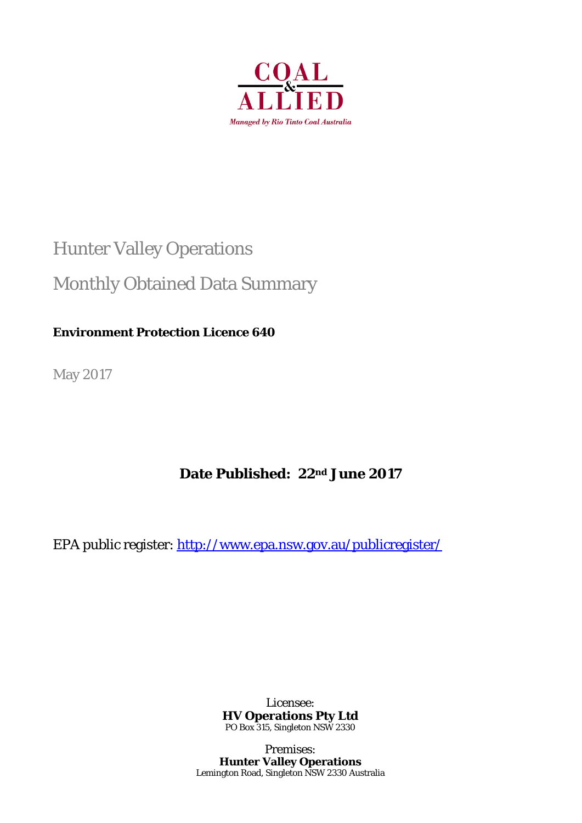

# Hunter Valley Operations

## Monthly Obtained Data Summary

## **Environment Protection Licence 640**

May 2017

## **Date Published: 22nd June 2017**

EPA public register: http://www.epa.nsw.gov.au/publicregister/

Licensee: **HV Operations Pty Ltd**  PO Box 315, Singleton NSW 2330

Premises: **Hunter Valley Operations**  Lemington Road, Singleton NSW 2330 Australia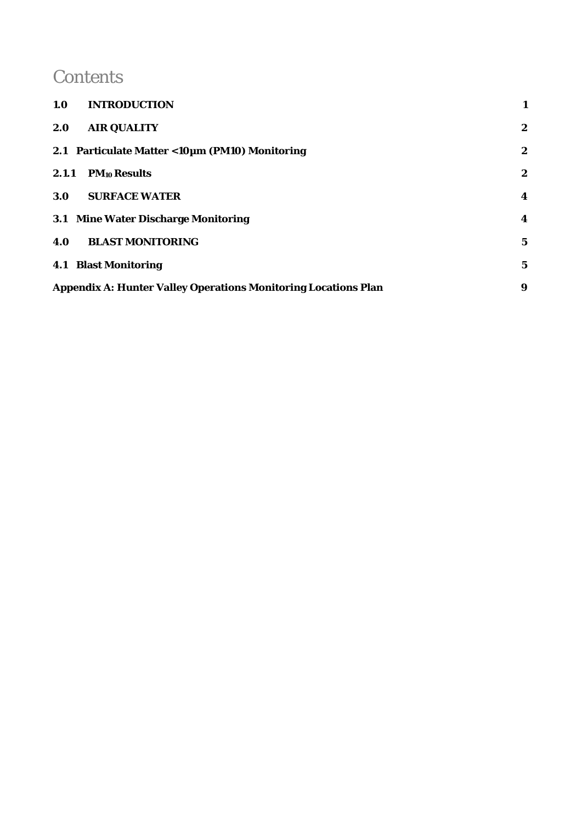## **Contents**

| 1.0<br><b>INTRODUCTION</b>                                            |                  |
|-----------------------------------------------------------------------|------------------|
| <b>AIR QUALITY</b><br>2.0                                             | $\boldsymbol{2}$ |
| 2.1 Particulate Matter < 10µm (PM10) Monitoring                       | $\boldsymbol{2}$ |
| 2.1.1<br><b>PM10 Results</b>                                          | $\boldsymbol{2}$ |
| <b>SURFACE WATER</b><br>3.0                                           | 4                |
| 3.1 Mine Water Discharge Monitoring                                   | 4                |
| <b>BLAST MONITORING</b><br>4.0                                        | $\mathbf 5$      |
| <b>4.1 Blast Monitoring</b>                                           | 5                |
| <b>Appendix A: Hunter Valley Operations Monitoring Locations Plan</b> | 9                |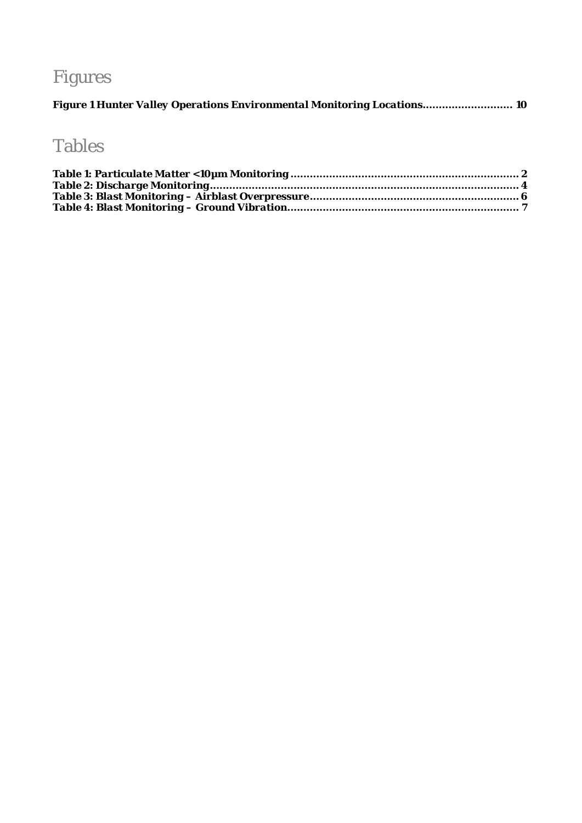# Figures

|  |  | Figure 1 Hunter Valley Operations Environmental Monitoring Locations 10 |  |
|--|--|-------------------------------------------------------------------------|--|
|  |  |                                                                         |  |

## Tables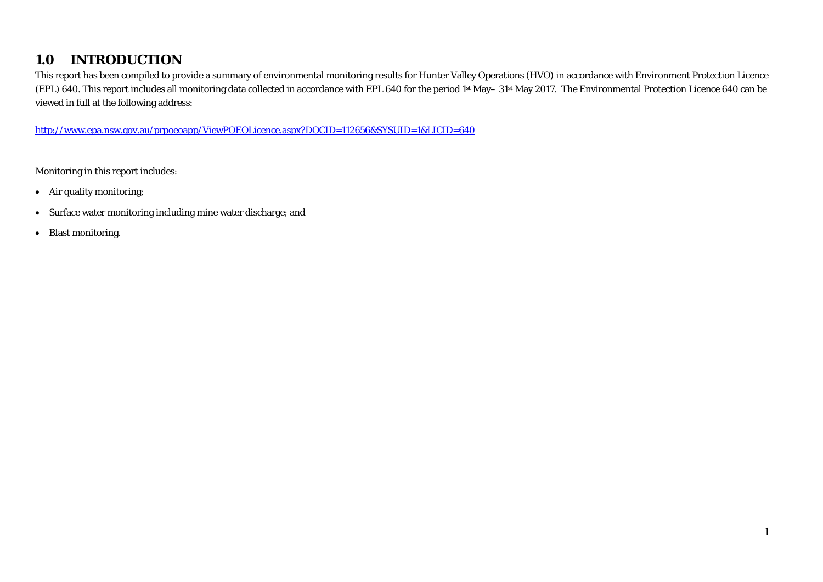#### **1.0INTRODUCTION**

This report has been compiled to provide a summary of environmental monitoring results for Hunter Valley Operations (HVO) in accordance with Environment Protection Licence (EPL) 640. This report includes all monitoring data collected in accordance with EPL 640 for the period 1st May– 31st May 2017. The Environmental Protection Licence 640 can be viewed in full at the following address:

http://www.epa.nsw.gov.au/prpoeoapp/ViewPOEOLicence.aspx?DOCID=112656&SYSUID=1&LICID=640

Monitoring in this report includes:

- Air quality monitoring;
- Surface water monitoring including mine water discharge; and
- $\bullet$ Blast monitoring.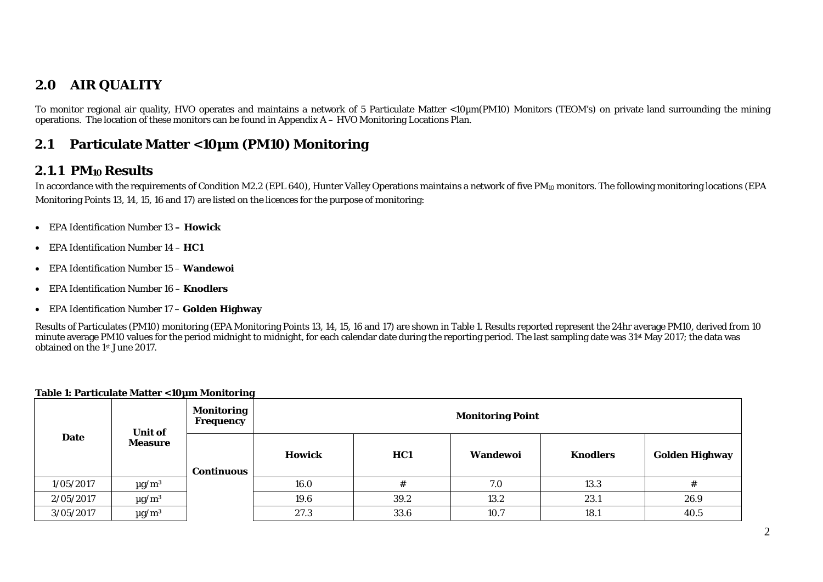#### **2.0AIR QUALITY**

To monitor regional air quality, HVO operates and maintains a network of 5 Particulate Matter <10µm(PM10) Monitors (TEOM's) on private land surrounding the mining operations. The location of these monitors can be found in Appendix A – HVO Monitoring Locations Plan.

#### **2.1Particulate Matter <10µm (PM10) Monitoring**

## **2.1.1 PM10 Results**

In accordance with the requirements of Condition M2.2 (EPL 640), Hunter Valley Operations maintains a network of five PM<sub>10</sub> monitors. The following monitoring locations (EPA Monitoring Points 13, 14, 15, 16 and 17) are listed on the licences for the purpose of monitoring:

- EPA Identification Number 13  **Howick**
- EPA Identification Number 14 **HC1**
- EPA Identification Number 15 **Wandewoi**
- EPA Identification Number 16 **Knodlers**
- EPA Identification Number 17 **Golden Highway**

Results of Particulates (PM10) monitoring (EPA Monitoring Points 13, 14, 15, 16 and 17) are shown in Table 1. Results reported represent the 24hr average PM10, derived from 10 minute average PM10 values for the period midnight to midnight, for each calendar date during the reporting period. The last sampling date was 31<sup>st</sup> May 2017; the data was obtained on the 1st June 2017.

|           | <b>Unit of</b>         | <b>Monitoring</b><br>Frequency |                                                     |      | <b>Monitoring Point</b> |      |                       |
|-----------|------------------------|--------------------------------|-----------------------------------------------------|------|-------------------------|------|-----------------------|
| Date      | <b>Measure</b>         | <b>Continuous</b>              | <b>Howick</b><br><b>Knodlers</b><br>HC1<br>Wandewoi |      |                         |      | <b>Golden Highway</b> |
| 1/05/2017 | $\mu$ g/m <sup>3</sup> |                                | 16.0                                                |      | 7.0                     | 13.3 |                       |
| 2/05/2017 | $\mu$ g/m <sup>3</sup> |                                | 19.6                                                | 39.2 | 13.2                    | 23.1 | 26.9                  |
| 3/05/2017 | $\mu$ g/m <sup>3</sup> |                                | 27.3                                                | 33.6 | 10.7                    | 18.1 | 40.5                  |

### **Table 1: Particulate Matter <10µm Monitoring**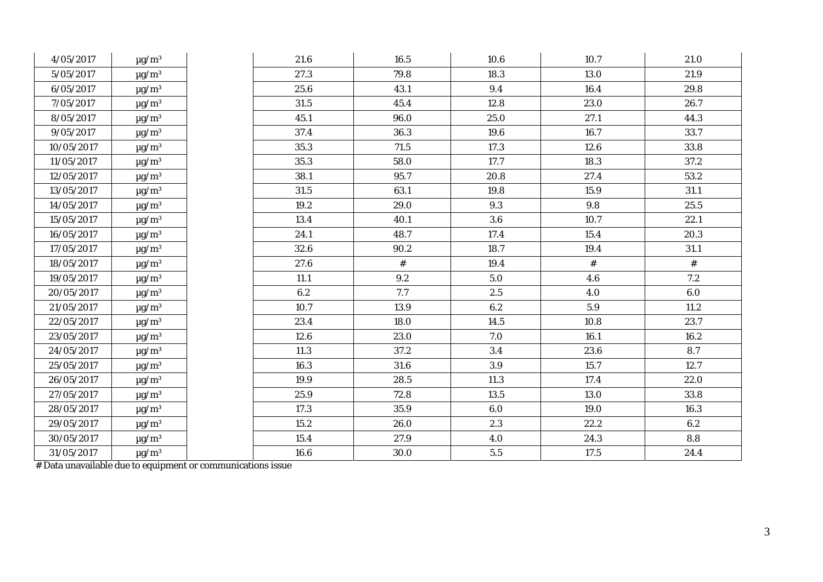| 4/05/2017  | $\mu$ g/m <sup>3</sup>   | 21.6 | 16.5 | 10.6    | 10.7 | 21.0    |
|------------|--------------------------|------|------|---------|------|---------|
| 5/05/2017  | $\mu g/m^3$              | 27.3 | 79.8 | 18.3    | 13.0 | 21.9    |
| 6/05/2017  | $\mu\text{g}/\text{m}^3$ | 25.6 | 43.1 | 9.4     | 16.4 | 29.8    |
| 7/05/2017  | $\mu$ g/m <sup>3</sup>   | 31.5 | 45.4 | 12.8    | 23.0 | 26.7    |
| 8/05/2017  | $\mu g/m^3$              | 45.1 | 96.0 | 25.0    | 27.1 | 44.3    |
| 9/05/2017  | $\mu\text{g}/\text{m}^3$ | 37.4 | 36.3 | 19.6    | 16.7 | 33.7    |
| 10/05/2017 | $\mu$ g/m <sup>3</sup>   | 35.3 | 71.5 | 17.3    | 12.6 | 33.8    |
| 11/05/2017 | $\mu\text{g}/\text{m}^3$ | 35.3 | 58.0 | 17.7    | 18.3 | 37.2    |
| 12/05/2017 | $\mu g/m^3$              | 38.1 | 95.7 | 20.8    | 27.4 | 53.2    |
| 13/05/2017 | $\mu g/m^3$              | 31.5 | 63.1 | 19.8    | 15.9 | 31.1    |
| 14/05/2017 | $\mu g/m^3$              | 19.2 | 29.0 | 9.3     | 9.8  | 25.5    |
| 15/05/2017 | $\mu g/m^3$              | 13.4 | 40.1 | 3.6     | 10.7 | 22.1    |
| 16/05/2017 | $\mu g/m^3$              | 24.1 | 48.7 | 17.4    | 15.4 | 20.3    |
| 17/05/2017 | $\mu g/m^3$              | 32.6 | 90.2 | 18.7    | 19.4 | 31.1    |
| 18/05/2017 | $\mu g/m^3$              | 27.6 | $\#$ | 19.4    | $\#$ | $\#$    |
| 19/05/2017 | $\mu\text{g}/\text{m}^3$ | 11.1 | 9.2  | 5.0     | 4.6  | 7.2     |
| 20/05/2017 | $\mu g/m^3$              | 6.2  | 7.7  | 2.5     | 4.0  | $6.0\,$ |
| 21/05/2017 | $\mu$ g/m <sup>3</sup>   | 10.7 | 13.9 | 6.2     | 5.9  | 11.2    |
| 22/05/2017 | $\mu g/m^3$              | 23.4 | 18.0 | 14.5    | 10.8 | 23.7    |
| 23/05/2017 | $\mu\text{g}/\text{m}^3$ | 12.6 | 23.0 | 7.0     | 16.1 | 16.2    |
| 24/05/2017 | $\mu g/m^3$              | 11.3 | 37.2 | 3.4     | 23.6 | 8.7     |
| 25/05/2017 | $\mu g/m^3$              | 16.3 | 31.6 | $3.9\,$ | 15.7 | 12.7    |
| 26/05/2017 | $\mu g/m^3$              | 19.9 | 28.5 | 11.3    | 17.4 | 22.0    |
| 27/05/2017 | $\mu$ g/m <sup>3</sup>   | 25.9 | 72.8 | 13.5    | 13.0 | 33.8    |
| 28/05/2017 | $\mu\text{g}/\text{m}^3$ | 17.3 | 35.9 | 6.0     | 19.0 | 16.3    |
| 29/05/2017 | $\mu g/m^3$              | 15.2 | 26.0 | 2.3     | 22.2 | 6.2     |
| 30/05/2017 | $\mu g/m^3$              | 15.4 | 27.9 | 4.0     | 24.3 | 8.8     |
| 31/05/2017 | $\mu g/m^3$              | 16.6 | 30.0 | $5.5\,$ | 17.5 | 24.4    |

# Data unavailable due to equipment or communications issue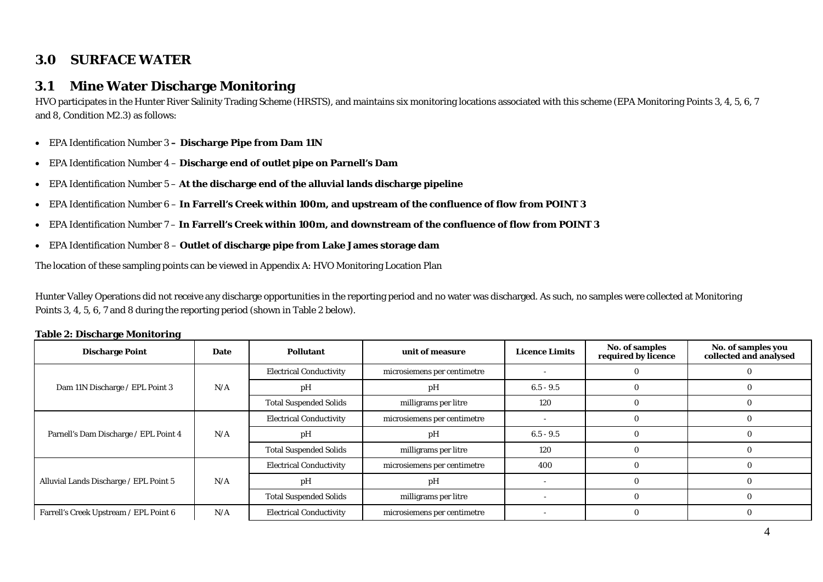## **3.0 SURFACE WATER**

#### **3.1Mine Water Discharge Monitoring**

HVO participates in the Hunter River Salinity Trading Scheme (HRSTS), and maintains six monitoring locations associated with this scheme (EPA Monitoring Points 3, 4, 5, 6, 7 and 8, Condition M2.3) as follows:

- EPA Identification Number 3 **Discharge Pipe from Dam 11N**
- EPA Identification Number 4 **Discharge end of outlet pipe on Parnell's Dam**
- EPA Identification Number 5 **At the discharge end of the alluvial lands discharge pipeline**
- EPA Identification Number 6 **In Farrell's Creek within 100m, and upstream of the confluence of flow from POINT 3**
- EPA Identification Number 7 **In Farrell's Creek within 100m, and downstream of the confluence of flow from POINT 3**
- EPA Identification Number 8 **Outlet of discharge pipe from Lake James storage dam**

The location of these sampling points can be viewed in Appendix A: HVO Monitoring Location Plan

Hunter Valley Operations did not receive any discharge opportunities in the reporting period and no water was discharged. As such, no samples were collected at Monitoring Points 3, 4, 5, 6, 7 and 8 during the reporting period (shown in Table 2 below).

| <b>Discharge Point</b>                 | <b>Date</b> | <b>Pollutant</b>               | unit of measure             | <b>Licence Limits</b> | No. of samples<br>required by licence | No. of samples you<br>collected and analysed |
|----------------------------------------|-------------|--------------------------------|-----------------------------|-----------------------|---------------------------------------|----------------------------------------------|
|                                        |             | <b>Electrical Conductivity</b> | microsiemens per centimetre |                       |                                       |                                              |
| Dam 11N Discharge / EPL Point 3        | N/A         | pH                             | pH                          | $6.5 - 9.5$           |                                       |                                              |
|                                        |             | <b>Total Suspended Solids</b>  | milligrams per litre        | 120                   |                                       |                                              |
|                                        | N/A         | <b>Electrical Conductivity</b> | microsiemens per centimetre |                       |                                       |                                              |
| Parnell's Dam Discharge / EPL Point 4  |             | pH                             | pH                          | $6.5 - 9.5$           |                                       |                                              |
|                                        |             | <b>Total Suspended Solids</b>  | milligrams per litre        | 120                   |                                       |                                              |
|                                        |             | <b>Electrical Conductivity</b> | microsiemens per centimetre | 400                   |                                       |                                              |
| Alluvial Lands Discharge / EPL Point 5 | N/A         | pH                             | pH                          |                       |                                       |                                              |
|                                        |             | <b>Total Suspended Solids</b>  | milligrams per litre        |                       |                                       |                                              |
| Farrell's Creek Upstream / EPL Point 6 | N/A         | <b>Electrical Conductivity</b> | microsiemens per centimetre |                       |                                       |                                              |

### **Table 2: Discharge Monitoring**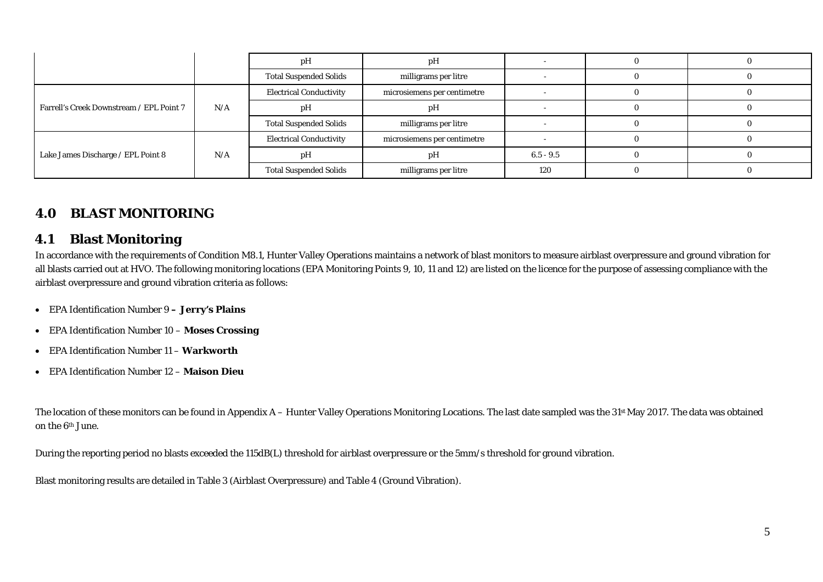|                                          |     | pH                             | pН                          |             |  |
|------------------------------------------|-----|--------------------------------|-----------------------------|-------------|--|
|                                          |     | <b>Total Suspended Solids</b>  | milligrams per litre        |             |  |
|                                          |     | <b>Electrical Conductivity</b> | microsiemens per centimetre |             |  |
| Farrell's Creek Downstream / EPL Point 7 | N/A | pH                             | рH                          |             |  |
|                                          |     | <b>Total Suspended Solids</b>  | milligrams per litre        |             |  |
|                                          |     | <b>Electrical Conductivity</b> | microsiemens per centimetre |             |  |
| Lake James Discharge / EPL Point 8       | N/A | pH                             | pН                          | $6.5 - 9.5$ |  |
|                                          |     | <b>Total Suspended Solids</b>  | milligrams per litre        | 120         |  |

## **4.0 BLAST MONITORING**

#### **4.1Blast Monitoring**

In accordance with the requirements of Condition M8.1, Hunter Valley Operations maintains a network of blast monitors to measure airblast overpressure and ground vibration for all blasts carried out at HVO. The following monitoring locations (EPA Monitoring Points 9, 10, 11 and 12) are listed on the licence for the purpose of assessing compliance with the airblast overpressure and ground vibration criteria as follows:

- EPA Identification Number 9 **Jerry's Plains**
- EPA Identification Number 10 **Moses Crossing**
- EPA Identification Number 11 **Warkworth**
- EPA Identification Number 12 **Maison Dieu**

The location of these monitors can be found in Appendix A - Hunter Valley Operations Monitoring Locations. The last date sampled was the 31<sup>st</sup> May 2017. The data was obtained on the 6th June.

During the reporting period no blasts exceeded the 115dB(L) threshold for airblast overpressure or the 5mm/s threshold for ground vibration.

Blast monitoring results are detailed in Table 3 (Airblast Overpressure) and Table 4 (Ground Vibration).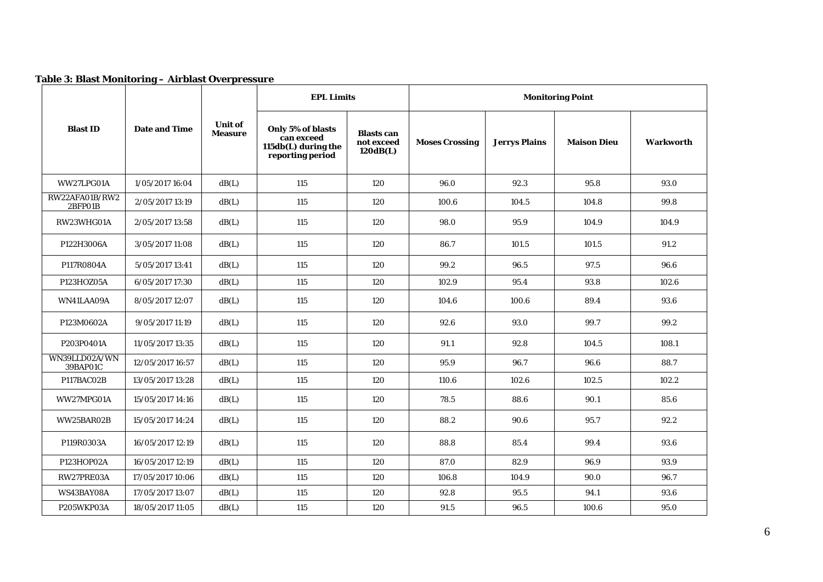| Table 3: Blast Monitoring – Airblast Overpressure |  |  |
|---------------------------------------------------|--|--|
|---------------------------------------------------|--|--|

|                           |                      |                                  | <b>EPL Limits</b>                                                          |                                             | <b>Monitoring Point</b> |                      |                    |                  |
|---------------------------|----------------------|----------------------------------|----------------------------------------------------------------------------|---------------------------------------------|-------------------------|----------------------|--------------------|------------------|
| <b>Blast ID</b>           | <b>Date and Time</b> | <b>Unit of</b><br><b>Measure</b> | Only 5% of blasts<br>can exceed<br>115db(L) during the<br>reporting period | <b>Blasts</b> can<br>not exceed<br>120dB(L) | <b>Moses Crossing</b>   | <b>Jerrys Plains</b> | <b>Maison Dieu</b> | <b>Warkworth</b> |
| WW27LPG01A                | 1/05/2017 16:04      | dB(L)                            | 115                                                                        | 120                                         | 96.0                    | 92.3                 | 95.8               | 93.0             |
| RW22AFA01B/RW2<br>2BFP01B | 2/05/2017 13:19      | dB(L)                            | 115                                                                        | 120                                         | 100.6                   | 104.5                | 104.8              | 99.8             |
| RW23WHG01A                | 2/05/2017 13:58      | dB(L)                            | 115                                                                        | 120                                         | 98.0                    | 95.9                 | 104.9              | 104.9            |
| P122H3006A                | 3/05/2017 11:08      | dB(L)                            | 115                                                                        | 120                                         | 86.7                    | 101.5                | 101.5              | 91.2             |
| P117R0804A                | 5/05/2017 13:41      | dB(L)                            | 115                                                                        | 120                                         | 99.2                    | 96.5                 | 97.5               | 96.6             |
| P123HOZ05A                | 6/05/2017 17:30      | dB(L)                            | 115                                                                        | 120                                         | 102.9                   | 95.4                 | 93.8               | 102.6            |
| WN41LAA09A                | 8/05/2017 12:07      | dB(L)                            | 115                                                                        | 120                                         | 104.6                   | 100.6                | 89.4               | 93.6             |
| P123M0602A                | 9/05/2017 11:19      | dB(L)                            | 115                                                                        | 120                                         | 92.6                    | 93.0                 | 99.7               | 99.2             |
| P203P0401A                | 11/05/2017 13:35     | dB(L)                            | 115                                                                        | 120                                         | 91.1                    | 92.8                 | 104.5              | 108.1            |
| WN39LLD02A/WN<br>39BAP01C | 12/05/2017 16:57     | dB(L)                            | 115                                                                        | 120                                         | 95.9                    | 96.7                 | 96.6               | 88.7             |
| P117BAC02B                | 13/05/2017 13:28     | dB(L)                            | 115                                                                        | 120                                         | 110.6                   | 102.6                | 102.5              | 102.2            |
| WW27MPG01A                | 15/05/2017 14:16     | dB(L)                            | 115                                                                        | 120                                         | 78.5                    | 88.6                 | 90.1               | 85.6             |
| WW25BAR02B                | 15/05/2017 14:24     | dB(L)                            | 115                                                                        | 120                                         | 88.2                    | 90.6                 | 95.7               | 92.2             |
| P119R0303A                | 16/05/2017 12:19     | dB(L)                            | 115                                                                        | 120                                         | 88.8                    | 85.4                 | 99.4               | 93.6             |
| P123HOP02A                | 16/05/2017 12:19     | dB(L)                            | 115                                                                        | 120                                         | 87.0                    | 82.9                 | 96.9               | 93.9             |
| RW27PRE03A                | 17/05/2017 10:06     | dB(L)                            | 115                                                                        | 120                                         | 106.8                   | 104.9                | 90.0               | 96.7             |
| WS43BAY08A                | 17/05/2017 13:07     | dB(L)                            | 115                                                                        | 120                                         | 92.8                    | 95.5                 | 94.1               | 93.6             |
| P205WKP03A                | 18/05/2017 11:05     | dB(L)                            | 115                                                                        | 120                                         | 91.5                    | 96.5                 | 100.6              | 95.0             |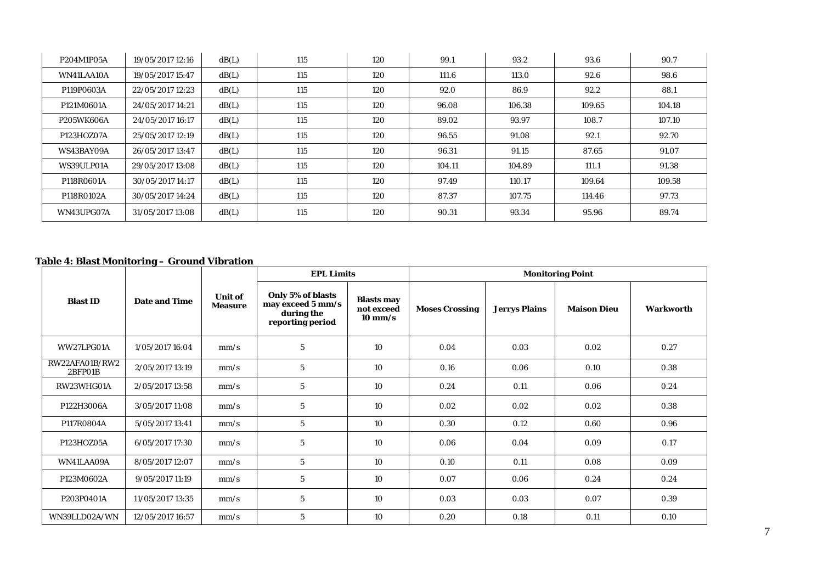| P204M1P05A | 19/05/2017 12:16 | dB(L) | 115 | 120 | 99.1   | 93.2   | 93.6   | 90.7   |
|------------|------------------|-------|-----|-----|--------|--------|--------|--------|
| WN41LAA10A | 19/05/2017 15:47 | dB(L) | 115 | 120 | 111.6  | 113.0  | 92.6   | 98.6   |
| P119P0603A | 22/05/2017 12:23 | dB(L) | 115 | 120 | 92.0   | 86.9   | 92.2   | 88.1   |
| P121M0601A | 24/05/2017 14:21 | dB(L) | 115 | 120 | 96.08  | 106.38 | 109.65 | 104.18 |
| P205WK606A | 24/05/2017 16:17 | dB(L) | 115 | 120 | 89.02  | 93.97  | 108.7  | 107.10 |
| P123HOZ07A | 25/05/2017 12:19 | dB(L) | 115 | 120 | 96.55  | 91.08  | 92.1   | 92.70  |
| WS43BAY09A | 26/05/2017 13:47 | dB(L) | 115 | 120 | 96.31  | 91.15  | 87.65  | 91.07  |
| WS39ULP01A | 29/05/2017 13:08 | dB(L) | 115 | 120 | 104.11 | 104.89 | 111.1  | 91.38  |
| P118R0601A | 30/05/2017 14:17 | dB(L) | 115 | 120 | 97.49  | 110.17 | 109.64 | 109.58 |
| P118R0102A | 30/05/2017 14:24 | dB(L) | 115 | 120 | 87.37  | 107.75 | 114.46 | 97.73  |
| WN43UPG07A | 31/05/2017 13:08 | dB(L) | 115 | 120 | 90.31  | 93.34  | 95.96  | 89.74  |

### **Table 4: Blast Monitoring – Ground Vibration**

|                           |                      |                                  | <b>EPL Limits</b>                                                        |                                                      | <b>Monitoring Point</b> |                      |                    |           |
|---------------------------|----------------------|----------------------------------|--------------------------------------------------------------------------|------------------------------------------------------|-------------------------|----------------------|--------------------|-----------|
| <b>Blast ID</b>           | <b>Date and Time</b> | <b>Unit of</b><br><b>Measure</b> | Only 5% of blasts<br>may exceed 5 mm/s<br>during the<br>reporting period | <b>Blasts may</b><br>not exceed<br>$10 \text{ mm/s}$ | <b>Moses Crossing</b>   | <b>Jerrys Plains</b> | <b>Maison Dieu</b> | Warkworth |
| WW27LPG01A                | 1/05/2017 16:04      | mm/s                             | $5\phantom{.0}$                                                          | 10                                                   | 0.04                    | 0.03                 | 0.02               | 0.27      |
| RW22AFA01B/RW2<br>2BFP01B | 2/05/2017 13:19      | mm/s                             | 5                                                                        | 10                                                   | 0.16                    | 0.06                 | 0.10               | 0.38      |
| RW23WHG01A                | 2/05/2017 13:58      | mm/s                             | $5\phantom{.0}$                                                          | 10                                                   | 0.24                    | 0.11                 | 0.06               | 0.24      |
| P122H3006A                | 3/05/2017 11:08      | mm/s                             | $5\phantom{.0}$                                                          | 10                                                   | 0.02                    | 0.02                 | 0.02               | 0.38      |
| P117R0804A                | 5/05/2017 13:41      | mm/s                             | $\mathbf 5$                                                              | 10                                                   | 0.30                    | 0.12                 | 0.60               | 0.96      |
| P123HOZ05A                | 6/05/2017 17:30      | mm/s                             | $5\phantom{.0}$                                                          | 10                                                   | 0.06                    | 0.04                 | 0.09               | 0.17      |
| WN41LAA09A                | 8/05/2017 12:07      | mm/s                             | $\mathbf{5}$                                                             | 10                                                   | 0.10                    | 0.11                 | 0.08               | 0.09      |
| P123M0602A                | 9/05/2017 11:19      | mm/s                             | $\mathbf{5}$                                                             | 10                                                   | 0.07                    | 0.06                 | 0.24               | 0.24      |
| P203P0401A                | 11/05/2017 13:35     | mm/s                             | $\mathbf{5}$                                                             | 10                                                   | 0.03                    | 0.03                 | 0.07               | 0.39      |
| WN39LLD02A/WN             | 12/05/2017 16:57     | mm/s                             | $5\phantom{.0}$                                                          | 10                                                   | 0.20                    | 0.18                 | 0.11               | 0.10      |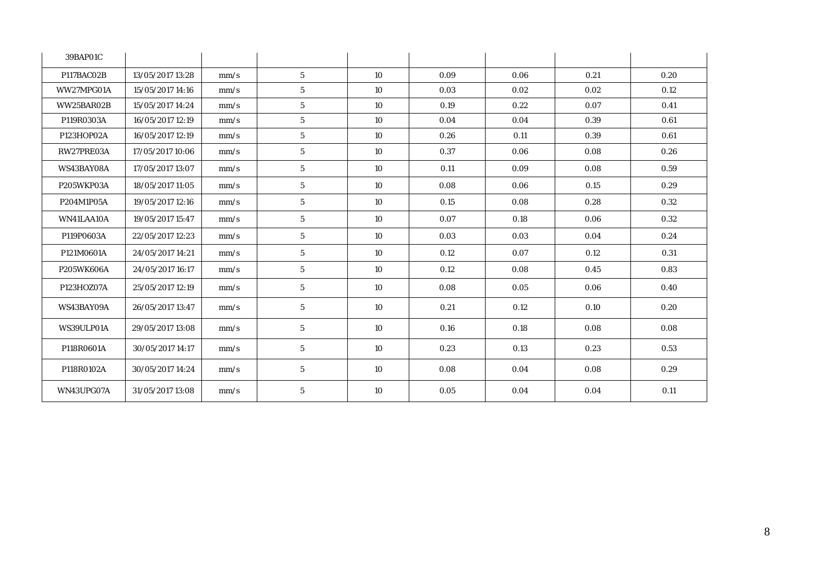| 39BAP01C   |                  |      |                 |    |      |      |      |      |
|------------|------------------|------|-----------------|----|------|------|------|------|
| P117BAC02B | 13/05/2017 13:28 | mm/s | $5^{\circ}$     | 10 | 0.09 | 0.06 | 0.21 | 0.20 |
| WW27MPG01A | 15/05/2017 14:16 | mm/s | $5\phantom{.0}$ | 10 | 0.03 | 0.02 | 0.02 | 0.12 |
| WW25BAR02B | 15/05/2017 14:24 | mm/s | $5\phantom{.0}$ | 10 | 0.19 | 0.22 | 0.07 | 0.41 |
| P119R0303A | 16/05/2017 12:19 | mm/s | $5\phantom{.0}$ | 10 | 0.04 | 0.04 | 0.39 | 0.61 |
| P123HOP02A | 16/05/2017 12:19 | mm/s | ${\bf 5}$       | 10 | 0.26 | 0.11 | 0.39 | 0.61 |
| RW27PRE03A | 17/05/2017 10:06 | mm/s | $5\phantom{.0}$ | 10 | 0.37 | 0.06 | 0.08 | 0.26 |
| WS43BAY08A | 17/05/2017 13:07 | mm/s | $\mathbf{5}$    | 10 | 0.11 | 0.09 | 0.08 | 0.59 |
| P205WKP03A | 18/05/2017 11:05 | mm/s | 5 <sup>5</sup>  | 10 | 0.08 | 0.06 | 0.15 | 0.29 |
| P204M1P05A | 19/05/2017 12:16 | mm/s | 5 <sup>5</sup>  | 10 | 0.15 | 0.08 | 0.28 | 0.32 |
| WN41LAA10A | 19/05/2017 15:47 | mm/s | 5 <sup>5</sup>  | 10 | 0.07 | 0.18 | 0.06 | 0.32 |
| P119P0603A | 22/05/2017 12:23 | mm/s | 5 <sup>5</sup>  | 10 | 0.03 | 0.03 | 0.04 | 0.24 |
| P121M0601A | 24/05/2017 14:21 | mm/s | $5\phantom{.0}$ | 10 | 0.12 | 0.07 | 0.12 | 0.31 |
| P205WK606A | 24/05/2017 16:17 | mm/s | $5\phantom{.0}$ | 10 | 0.12 | 0.08 | 0.45 | 0.83 |
| P123HOZ07A | 25/05/2017 12:19 | mm/s | $5\phantom{.0}$ | 10 | 0.08 | 0.05 | 0.06 | 0.40 |
| WS43BAY09A | 26/05/2017 13:47 | mm/s | $5\phantom{.0}$ | 10 | 0.21 | 0.12 | 0.10 | 0.20 |
| WS39ULP01A | 29/05/2017 13:08 | mm/s | $5\phantom{.0}$ | 10 | 0.16 | 0.18 | 0.08 | 0.08 |
| P118R0601A | 30/05/2017 14:17 | mm/s | $5\phantom{.0}$ | 10 | 0.23 | 0.13 | 0.23 | 0.53 |
| P118R0102A | 30/05/2017 14:24 | mm/s | 5 <sup>5</sup>  | 10 | 0.08 | 0.04 | 0.08 | 0.29 |
| WN43UPG07A | 31/05/2017 13:08 | mm/s | $5\phantom{.0}$ | 10 | 0.05 | 0.04 | 0.04 | 0.11 |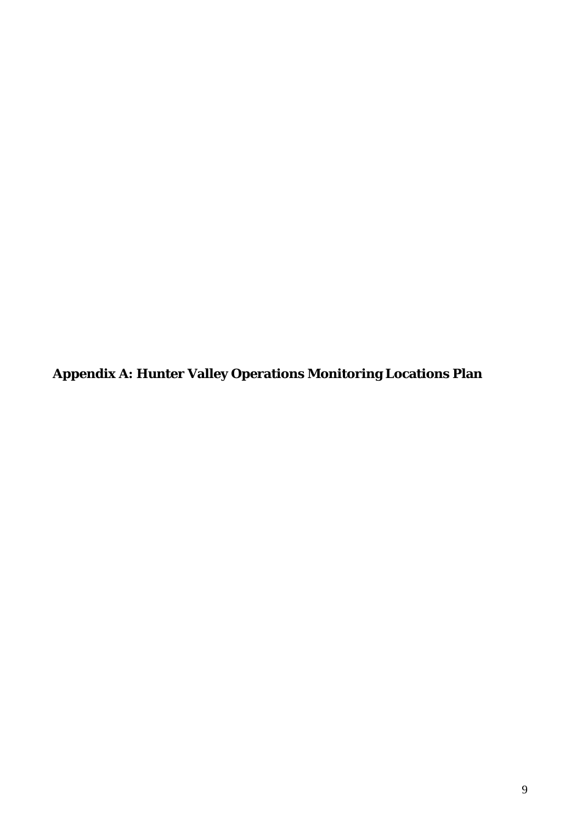**Appendix A: Hunter Valley Operations Monitoring Locations Plan**